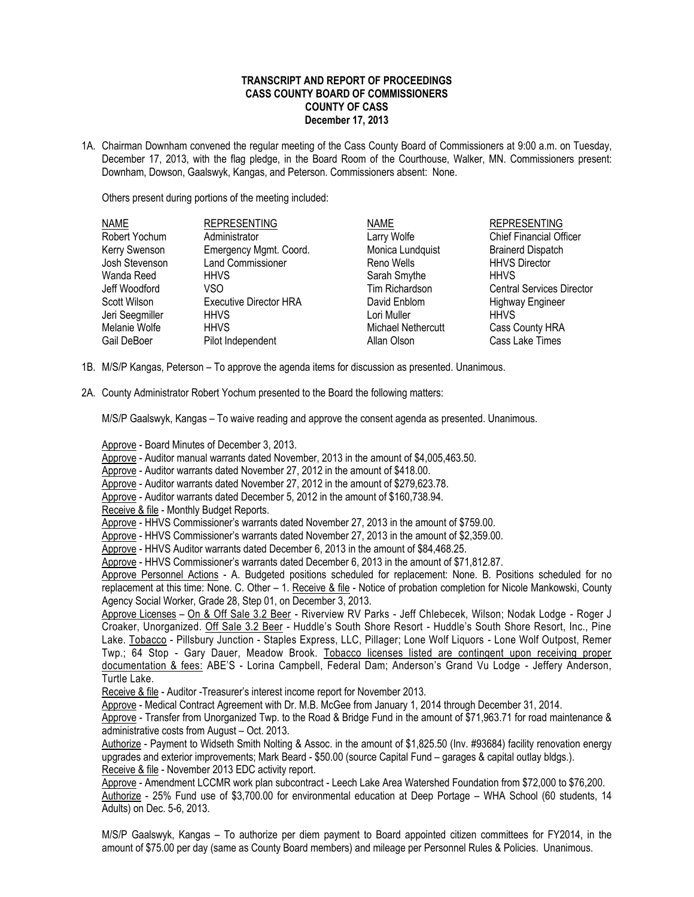## **TRANSCRIPT AND REPORT OF PROCEEDINGS CASS COUNTY BOARD OF COMMISSIONERS COUNTY OF CASS December 17, 2013**

1A. Chairman Downham convened the regular meeting of the Cass County Board of Commissioners at 9:00 a.m. on Tuesday, December 17, 2013, with the flag pledge, in the Board Room of the Courthouse, Walker, MN. Commissioners present: Downham, Dowson, Gaalswyk, Kangas, and Peterson. Commissioners absent: None.

Others present during portions of the meeting included:

| <b>NAME</b>     | <b>REPRESENTING</b>           | <b>NAME</b>        | <b>REPRESENTING</b>              |
|-----------------|-------------------------------|--------------------|----------------------------------|
| Robert Yochum   | Administrator                 | Larry Wolfe        | <b>Chief Financial Officer</b>   |
| Kerry Swenson   | Emergency Mgmt. Coord.        | Monica Lundquist   | <b>Brainerd Dispatch</b>         |
| Josh Stevenson  | <b>Land Commissioner</b>      | Reno Wells         | <b>HHVS Director</b>             |
| Wanda Reed      | <b>HHVS</b>                   | Sarah Smythe       | <b>HHVS</b>                      |
| Jeff Woodford   | VSO                           | Tim Richardson     | <b>Central Services Director</b> |
| Scott Wilson    | <b>Executive Director HRA</b> | David Enblom       | <b>Highway Engineer</b>          |
| Jeri Seegmiller | <b>HHVS</b>                   | Lori Muller        | <b>HHVS</b>                      |
| Melanie Wolfe   | <b>HHVS</b>                   | Michael Nethercutt | Cass County HRA                  |
| Gail DeBoer     | Pilot Independent             | Allan Olson        | Cass Lake Times                  |

- 1B. M/S/P Kangas, Peterson To approve the agenda items for discussion as presented. Unanimous.
- 2A. County Administrator Robert Yochum presented to the Board the following matters:

M/S/P Gaalswyk, Kangas – To waive reading and approve the consent agenda as presented. Unanimous.

Approve - Board Minutes of December 3, 2013.

Approve - Auditor manual warrants dated November, 2013 in the amount of \$4,005,463.50.

Approve - Auditor warrants dated November 27, 2012 in the amount of \$418.00.

Approve - Auditor warrants dated November 27, 2012 in the amount of \$279,623.78.

Approve - Auditor warrants dated December 5, 2012 in the amount of \$160,738.94.

Receive & file - Monthly Budget Reports.

Approve - HHVS Commissioner's warrants dated November 27, 2013 in the amount of \$759.00.

Approve - HHVS Commissioner's warrants dated November 27, 2013 in the amount of \$2,359.00.

Approve - HHVS Auditor warrants dated December 6, 2013 in the amount of \$84,468.25.

Approve - HHVS Commissioner's warrants dated December 6, 2013 in the amount of \$71,812.87.

Approve Personnel Actions - A. Budgeted positions scheduled for replacement: None. B. Positions scheduled for no replacement at this time: None. C. Other – 1. Receive & file - Notice of probation completion for Nicole Mankowski, County Agency Social Worker, Grade 28, Step 01, on December 3, 2013.

Approve Licenses - On & Off Sale 3.2 Beer - Riverview RV Parks - Jeff Chlebecek, Wilson; Nodak Lodge - Roger J Croaker, Unorganized. Off Sale 3.2 Beer - Huddle's South Shore Resort - Huddle's South Shore Resort, Inc., Pine Lake. Tobacco - Pillsbury Junction - Staples Express, LLC, Pillager; Lone Wolf Liquors - Lone Wolf Outpost, Remer Twp.; 64 Stop - Gary Dauer, Meadow Brook. Tobacco licenses listed are contingent upon receiving proper documentation & fees: ABE'S - Lorina Campbell, Federal Dam; Anderson's Grand Vu Lodge - Jeffery Anderson, Turtle Lake.

Receive & file - Auditor -Treasurer's interest income report for November 2013.

Approve - Medical Contract Agreement with Dr. M.B. McGee from January 1, 2014 through December 31, 2014.

Approve - Transfer from Unorganized Twp. to the Road & Bridge Fund in the amount of \$71,963.71 for road maintenance & administrative costs from August – Oct. 2013.

Authorize - Payment to Widseth Smith Nolting & Assoc. in the amount of \$1,825.50 (Inv. #93684) facility renovation energy upgrades and exterior improvements; Mark Beard - \$50.00 (source Capital Fund – garages & capital outlay bldgs.). Receive & file - November 2013 EDC activity report.

Approve - Amendment LCCMR work plan subcontract - Leech Lake Area Watershed Foundation from \$72,000 to \$76,200. Authorize - 25% Fund use of \$3,700.00 for environmental education at Deep Portage – WHA School (60 students, 14 Adults) on Dec. 5-6, 2013.

M/S/P Gaalswyk, Kangas – To authorize per diem payment to Board appointed citizen committees for FY2014, in the amount of \$75.00 per day (same as County Board members) and mileage per Personnel Rules & Policies. Unanimous.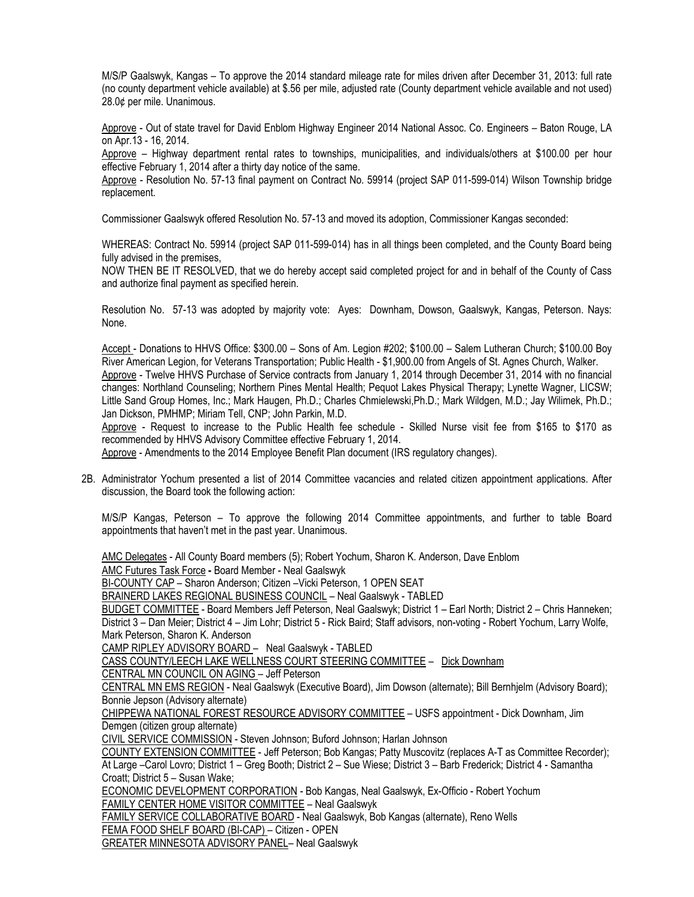M/S/P Gaalswyk, Kangas – To approve the 2014 standard mileage rate for miles driven after December 31, 2013: full rate (no county department vehicle available) at \$.56 per mile, adjusted rate (County department vehicle available and not used) 28.0¢ per mile. Unanimous.

Approve - Out of state travel for David Enblom Highway Engineer 2014 National Assoc. Co. Engineers – Baton Rouge, LA on Apr.13 - 16, 2014.

Approve – Highway department rental rates to townships, municipalities, and individuals/others at \$100.00 per hour effective February 1, 2014 after a thirty day notice of the same.

Approve - Resolution No. 57-13 final payment on Contract No. 59914 (project SAP 011-599-014) Wilson Township bridge replacement.

Commissioner Gaalswyk offered Resolution No. 57-13 and moved its adoption, Commissioner Kangas seconded:

WHEREAS: Contract No. 59914 (project SAP 011-599-014) has in all things been completed, and the County Board being fully advised in the premises.

NOW THEN BE IT RESOLVED, that we do hereby accept said completed project for and in behalf of the County of Cass and authorize final payment as specified herein.

Resolution No. 57-13 was adopted by majority vote: Ayes: Downham, Dowson, Gaalswyk, Kangas, Peterson. Nays: None.

Accept - Donations to HHVS Office: \$300.00 – Sons of Am. Legion #202; \$100.00 – Salem Lutheran Church; \$100.00 Boy River American Legion, for Veterans Transportation; Public Health - \$1,900.00 from Angels of St. Agnes Church, Walker. Approve - Twelve HHVS Purchase of Service contracts from January 1, 2014 through December 31, 2014 with no financial changes: Northland Counseling; Northern Pines Mental Health; Pequot Lakes Physical Therapy; Lynette Wagner, LICSW; Little Sand Group Homes, Inc.; Mark Haugen, Ph.D.; Charles Chmielewski,Ph.D.; Mark Wildgen, M.D.; Jay Wilimek, Ph.D.; Jan Dickson, PMHMP; Miriam Tell, CNP; John Parkin, M.D.

Approve - Request to increase to the Public Health fee schedule - Skilled Nurse visit fee from \$165 to \$170 as recommended by HHVS Advisory Committee effective February 1, 2014.

Approve - Amendments to the 2014 Employee Benefit Plan document (IRS regulatory changes).

2B. Administrator Yochum presented a list of 2014 Committee vacancies and related citizen appointment applications. After discussion, the Board took the following action:

M/S/P Kangas, Peterson – To approve the following 2014 Committee appointments, and further to table Board appointments that haven't met in the past year. Unanimous.

AMC Delegates - All County Board members (5); Robert Yochum, Sharon K. Anderson, Dave Enblom

AMC Futures Task Force **-** Board Member - Neal Gaalswyk

BI-COUNTY CAP – Sharon Anderson; Citizen –Vicki Peterson, 1 OPEN SEAT

BRAINERD LAKES REGIONAL BUSINESS COUNCIL – Neal Gaalswyk - TABLED

BUDGET COMMITTEE - Board Members Jeff Peterson, Neal Gaalswyk; District 1 – Earl North; District 2 – Chris Hanneken; District 3 – Dan Meier; District 4 – Jim Lohr; District 5 - Rick Baird; Staff advisors, non-voting - Robert Yochum, Larry Wolfe, Mark Peterson, Sharon K. Anderson

CAMP RIPLEY ADVISORY BOARD – Neal Gaalswyk - TABLED

CASS COUNTY/LEECH LAKE WELLNESS COURT STEERING COMMITTEE – Dick Downham

CENTRAL MN COUNCIL ON AGING – Jeff Peterson

CENTRAL MN EMS REGION - Neal Gaalswyk (Executive Board), Jim Dowson (alternate); Bill Bernhjelm (Advisory Board); Bonnie Jepson (Advisory alternate)

CHIPPEWA NATIONAL FOREST RESOURCE ADVISORY COMMITTEE – USFS appointment - Dick Downham, Jim Demgen (citizen group alternate)

CIVIL SERVICE COMMISSION - Steven Johnson; Buford Johnson; Harlan Johnson

COUNTY EXTENSION COMMITTEE - Jeff Peterson; Bob Kangas; Patty Muscovitz (replaces A-T as Committee Recorder); At Large –Carol Lovro; District 1 – Greg Booth; District 2 – Sue Wiese; District 3 – Barb Frederick; District 4 - Samantha Croatt; District 5 – Susan Wake;

ECONOMIC DEVELOPMENT CORPORATION - Bob Kangas, Neal Gaalswyk, Ex-Officio - Robert Yochum FAMILY CENTER HOME VISITOR COMMITTEE – Neal Gaalswyk

FAMILY SERVICE COLLABORATIVE BOARD - Neal Gaalswyk, Bob Kangas (alternate), Reno Wells FEMA FOOD SHELF BOARD (BI-CAP) – Citizen - OPEN

GREATER MINNESOTA ADVISORY PANEL– Neal Gaalswyk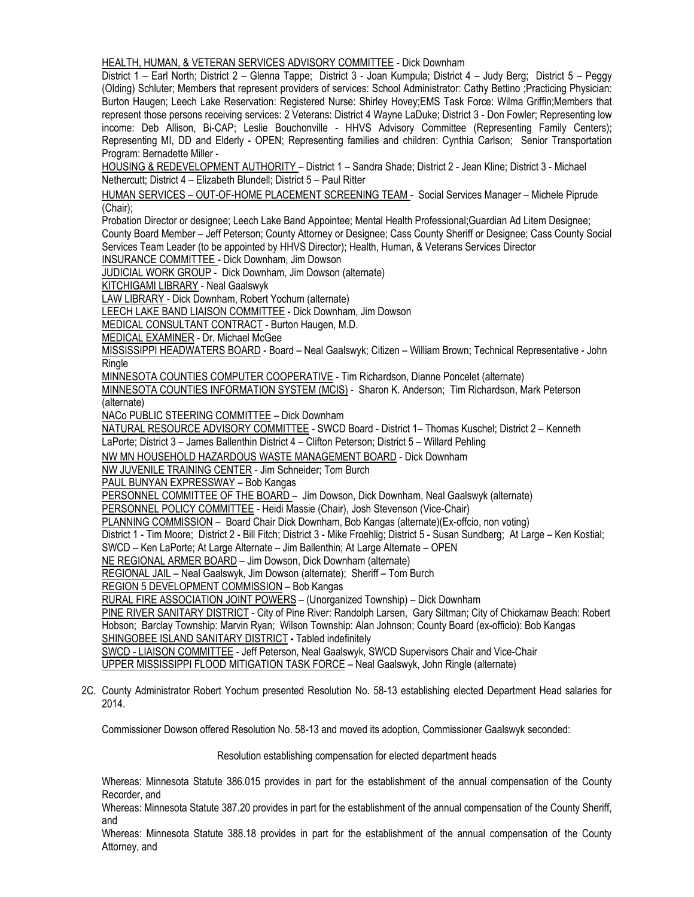HEALTH, HUMAN, & VETERAN SERVICES ADVISORY COMMITTEE - Dick Downham

District 1 – Earl North; District 2 – Glenna Tappe; District 3 - Joan Kumpula; District 4 – Judy Berg; District 5 – Peggy (Olding) Schluter; Members that represent providers of services: School Administrator: Cathy Bettino ;Practicing Physician: Burton Haugen; Leech Lake Reservation: Registered Nurse: Shirley Hovey;EMS Task Force: Wilma Griffin;Members that represent those persons receiving services: 2 Veterans: District 4 Wayne LaDuke; District 3 - Don Fowler; Representing low income: Deb Allison, Bi-CAP; Leslie Bouchonville - HHVS Advisory Committee (Representing Family Centers); Representing MI, DD and Elderly - OPEN; Representing families and children: Cynthia Carlson; Senior Transportation Program: Bernadette Miller -

HOUSING & REDEVELOPMENT AUTHORITY – District 1 – Sandra Shade; District 2 - Jean Kline; District 3 - Michael Nethercutt; District 4 – Elizabeth Blundell; District 5 – Paul Ritter

HUMAN SERVICES – OUT-OF-HOME PLACEMENT SCREENING TEAM - Social Services Manager – Michele Piprude (Chair);

Probation Director or designee; Leech Lake Band Appointee; Mental Health Professional;Guardian Ad Litem Designee; County Board Member – Jeff Peterson; County Attorney or Designee; Cass County Sheriff or Designee; Cass County Social Services Team Leader (to be appointed by HHVS Director); Health, Human, & Veterans Services Director

INSURANCE COMMITTEE - Dick Downham, Jim Dowson

JUDICIAL WORK GROUP - Dick Downham, Jim Dowson (alternate)

KITCHIGAMI LIBRARY - Neal Gaalswyk

LAW LIBRARY - Dick Downham, Robert Yochum (alternate)

LEECH LAKE BAND LIAISON COMMITTEE - Dick Downham, Jim Dowson

MEDICAL CONSULTANT CONTRACT - Burton Haugen, M.D.

MEDICAL EXAMINER - Dr. Michael McGee

MISSISSIPPI HEADWATERS BOARD - Board – Neal Gaalswyk; Citizen – William Brown; Technical Representative - John **Ringle** 

MINNESOTA COUNTIES COMPUTER COOPERATIVE - Tim Richardson, Dianne Poncelet (alternate)

MINNESOTA COUNTIES INFORMATION SYSTEM (MCIS) - Sharon K. Anderson; Tim Richardson, Mark Peterson (alternate)

NACo PUBLIC STEERING COMMITTEE – Dick Downham

NATURAL RESOURCE ADVISORY COMMITTEE - SWCD Board - District 1- Thomas Kuschel; District 2 - Kenneth

LaPorte; District 3 – James Ballenthin District 4 – Clifton Peterson; District 5 – Willard Pehling

NW MN HOUSEHOLD HAZARDOUS WASTE MANAGEMENT BOARD - Dick Downham

NW JUVENILE TRAINING CENTER - Jim Schneider; Tom Burch

PAUL BUNYAN EXPRESSWAY – Bob Kangas

PERSONNEL COMMITTEE OF THE BOARD - Jim Dowson, Dick Downham, Neal Gaalswyk (alternate)

PERSONNEL POLICY COMMITTEE - Heidi Massie (Chair), Josh Stevenson (Vice-Chair)

PLANNING COMMISSION – Board Chair Dick Downham, Bob Kangas (alternate)(Ex-offcio, non voting)

District 1 - Tim Moore; District 2 - Bill Fitch; District 3 - Mike Froehlig; District 5 - Susan Sundberg; At Large – Ken Kostial;

SWCD – Ken LaPorte; At Large Alternate – Jim Ballenthin; At Large Alternate – OPEN

NE REGIONAL ARMER BOARD – Jim Dowson, Dick Downham (alternate)

REGIONAL JAIL – Neal Gaalswyk, Jim Dowson (alternate); Sheriff – Tom Burch

REGION 5 DEVELOPMENT COMMISSION – Bob Kangas

RURAL FIRE ASSOCIATION JOINT POWERS – (Unorganized Township) – Dick Downham

PINE RIVER SANITARY DISTRICT - City of Pine River: Randolph Larsen, Gary Siltman; City of Chickamaw Beach: Robert Hobson; Barclay Township: Marvin Ryan; Wilson Township: Alan Johnson; County Board (ex-officio): Bob Kangas SHINGOBEE ISLAND SANITARY DISTRICT **-** Tabled indefinitely

SWCD - LIAISON COMMITTEE - Jeff Peterson, Neal Gaalswyk, SWCD Supervisors Chair and Vice-Chair

UPPER MISSISSIPPI FLOOD MITIGATION TASK FORCE – Neal Gaalswyk, John Ringle (alternate)

2C. County Administrator Robert Yochum presented Resolution No. 58-13 establishing elected Department Head salaries for 2014.

Commissioner Dowson offered Resolution No. 58-13 and moved its adoption, Commissioner Gaalswyk seconded:

Resolution establishing compensation for elected department heads

Whereas: Minnesota Statute 386.015 provides in part for the establishment of the annual compensation of the County Recorder, and

Whereas: Minnesota Statute 387.20 provides in part for the establishment of the annual compensation of the County Sheriff, and

Whereas: Minnesota Statute 388.18 provides in part for the establishment of the annual compensation of the County Attorney, and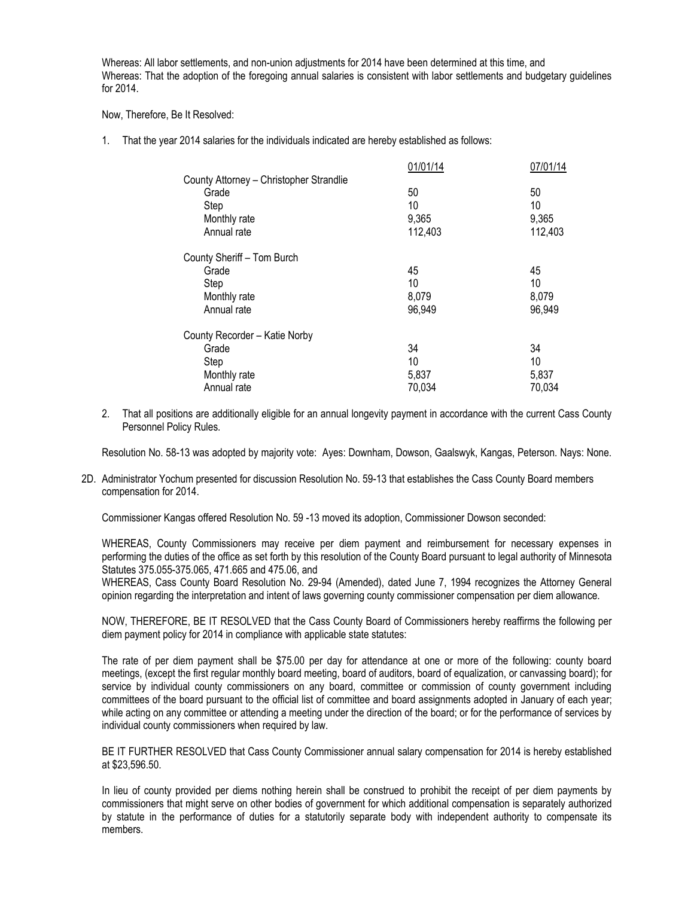Whereas: All labor settlements, and non-union adjustments for 2014 have been determined at this time, and Whereas: That the adoption of the foregoing annual salaries is consistent with labor settlements and budgetary guidelines for 2014.

Now, Therefore, Be It Resolved:

1. That the year 2014 salaries for the individuals indicated are hereby established as follows:

|                                         | 01/01/14 | 07/01/14 |
|-----------------------------------------|----------|----------|
| County Attorney - Christopher Strandlie |          |          |
| Grade                                   | 50       | 50       |
| Step                                    | 10       | 10       |
| Monthly rate                            | 9,365    | 9,365    |
| Annual rate                             | 112,403  | 112,403  |
| County Sheriff - Tom Burch              |          |          |
| Grade                                   | 45       | 45       |
| Step                                    | 10       | 10       |
| Monthly rate                            | 8,079    | 8,079    |
| Annual rate                             | 96,949   | 96,949   |
| County Recorder - Katie Norby           |          |          |
| Grade                                   | 34       | 34       |
| Step                                    | 10       | 10       |
| Monthly rate                            | 5,837    | 5,837    |
| Annual rate                             | 70,034   | 70,034   |

2. That all positions are additionally eligible for an annual longevity payment in accordance with the current Cass County Personnel Policy Rules.

Resolution No. 58-13 was adopted by majority vote: Ayes: Downham, Dowson, Gaalswyk, Kangas, Peterson. Nays: None.

2D. Administrator Yochum presented for discussion Resolution No. 59-13 that establishes the Cass County Board members compensation for 2014.

Commissioner Kangas offered Resolution No. 59 -13 moved its adoption, Commissioner Dowson seconded:

WHEREAS, County Commissioners may receive per diem payment and reimbursement for necessary expenses in performing the duties of the office as set forth by this resolution of the County Board pursuant to legal authority of Minnesota Statutes 375.055-375.065, 471.665 and 475.06, and

WHEREAS, Cass County Board Resolution No. 29-94 (Amended), dated June 7, 1994 recognizes the Attorney General opinion regarding the interpretation and intent of laws governing county commissioner compensation per diem allowance.

NOW, THEREFORE, BE IT RESOLVED that the Cass County Board of Commissioners hereby reaffirms the following per diem payment policy for 2014 in compliance with applicable state statutes:

The rate of per diem payment shall be \$75.00 per day for attendance at one or more of the following: county board meetings, (except the first regular monthly board meeting, board of auditors, board of equalization, or canvassing board); for service by individual county commissioners on any board, committee or commission of county government including committees of the board pursuant to the official list of committee and board assignments adopted in January of each year; while acting on any committee or attending a meeting under the direction of the board; or for the performance of services by individual county commissioners when required by law.

BE IT FURTHER RESOLVED that Cass County Commissioner annual salary compensation for 2014 is hereby established at \$23,596.50.

In lieu of county provided per diems nothing herein shall be construed to prohibit the receipt of per diem payments by commissioners that might serve on other bodies of government for which additional compensation is separately authorized by statute in the performance of duties for a statutorily separate body with independent authority to compensate its members.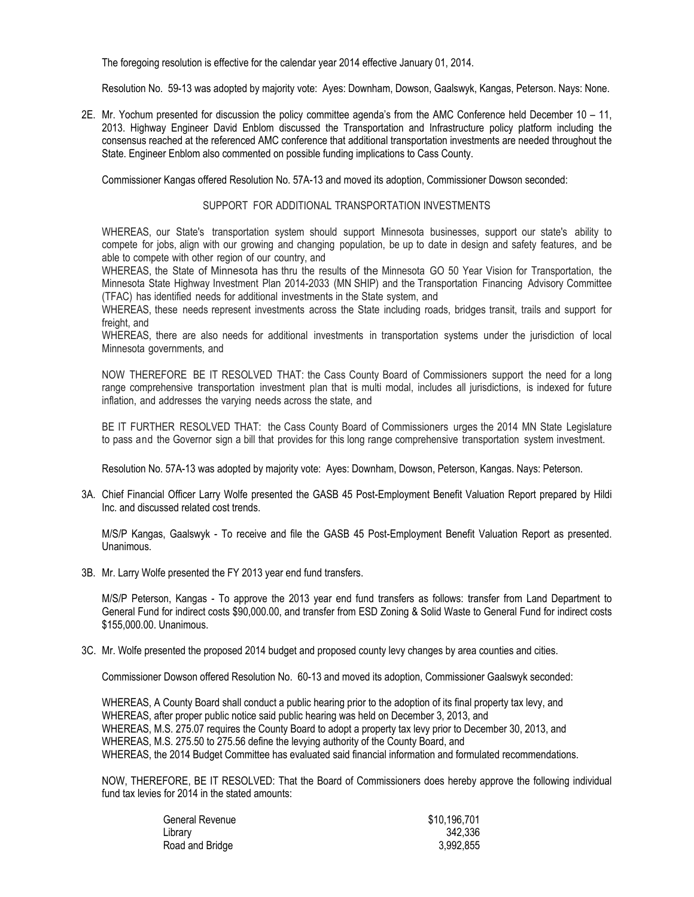The foregoing resolution is effective for the calendar year 2014 effective January 01, 2014.

Resolution No. 59-13 was adopted by majority vote: Ayes: Downham, Dowson, Gaalswyk, Kangas, Peterson. Nays: None.

2E. Mr. Yochum presented for discussion the policy committee agenda's from the AMC Conference held December 10 – 11, 2013. Highway Engineer David Enblom discussed the Transportation and Infrastructure policy platform including the consensus reached at the referenced AMC conference that additional transportation investments are needed throughout the State. Engineer Enblom also commented on possible funding implications to Cass County.

Commissioner Kangas offered Resolution No. 57A-13 and moved its adoption, Commissioner Dowson seconded:

## SUPPORT FOR ADDITIONAL TRANSPORTATION INVESTMENTS

WHEREAS, our State's transportation system should support Minnesota businesses, support our state's ability to compete for jobs, align with our growing and changing population, be up to date in design and safety features, and be able to compete with other region of our country, and

WHEREAS, the State of Minnesota has thru the results of the Minnesota GO 50 Year Vision for Transportation, the Minnesota State Highway Investment Plan 2014-2033 (MN SHIP) and the Transportation Financing Advisory Committee (TFAC) has identified needs for additional investments in the State system, and

WHEREAS, these needs represent investments across the State including roads, bridges transit, trails and support for freight, and

WHEREAS, there are also needs for additional investments in transportation systems under the jurisdiction of local Minnesota governments, and

NOW THEREFORE BE IT RESOLVED THAT: the Cass County Board of Commissioners support the need for a long range comprehensive transportation investment plan that is multi modal, includes all jurisdictions, is indexed for future inflation, and addresses the varying needs across the state, and

BE IT FURTHER RESOLVED THAT: the Cass County Board of Commissioners urges the 2014 MN State Legislature to pass and the Governor sign a bill that provides for this long range comprehensive transportation system investment.

Resolution No. 57A-13 was adopted by majority vote: Ayes: Downham, Dowson, Peterson, Kangas. Nays: Peterson.

3A. Chief Financial Officer Larry Wolfe presented the GASB 45 Post-Employment Benefit Valuation Report prepared by Hildi Inc. and discussed related cost trends.

M/S/P Kangas, Gaalswyk - To receive and file the GASB 45 Post-Employment Benefit Valuation Report as presented. Unanimous.

3B. Mr. Larry Wolfe presented the FY 2013 year end fund transfers.

M/S/P Peterson, Kangas - To approve the 2013 year end fund transfers as follows: transfer from Land Department to General Fund for indirect costs \$90,000.00, and transfer from ESD Zoning & Solid Waste to General Fund for indirect costs \$155,000.00. Unanimous.

3C. Mr. Wolfe presented the proposed 2014 budget and proposed county levy changes by area counties and cities.

Commissioner Dowson offered Resolution No. 60-13 and moved its adoption, Commissioner Gaalswyk seconded:

WHEREAS, A County Board shall conduct a public hearing prior to the adoption of its final property tax levy, and WHEREAS, after proper public notice said public hearing was held on December 3, 2013, and WHEREAS, M.S. 275.07 requires the County Board to adopt a property tax levy prior to December 30, 2013, and WHEREAS, M.S. 275.50 to 275.56 define the levying authority of the County Board, and WHEREAS, the 2014 Budget Committee has evaluated said financial information and formulated recommendations.

NOW, THEREFORE, BE IT RESOLVED: That the Board of Commissioners does hereby approve the following individual fund tax levies for 2014 in the stated amounts:

| General Revenue | \$10,196,701 |
|-----------------|--------------|
| Library         | 342.336      |
| Road and Bridge | 3.992.855    |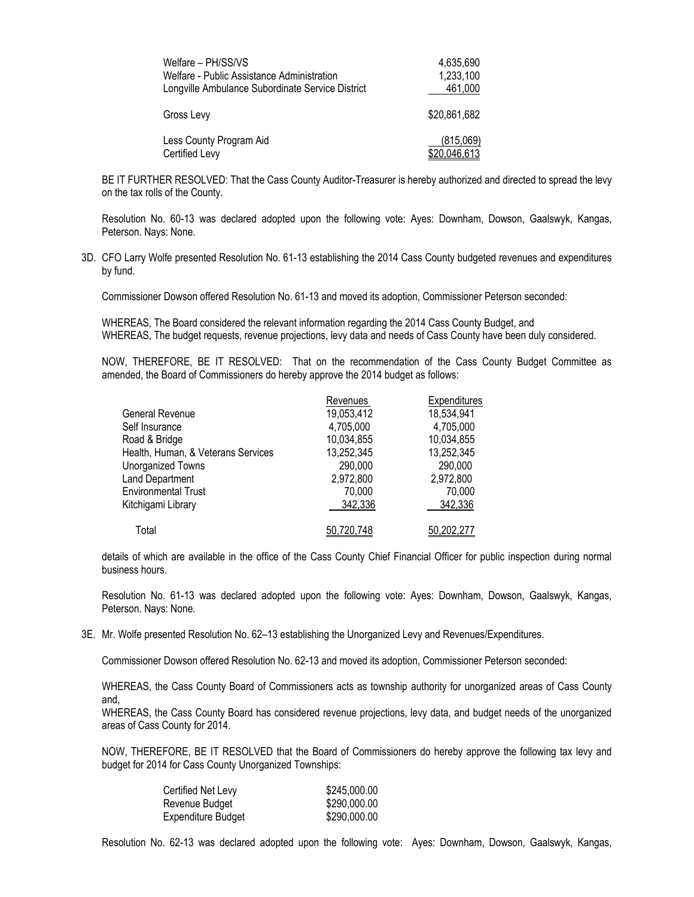| Welfare - PH/SS/VS                               | 4,635,690           |
|--------------------------------------------------|---------------------|
| Welfare - Public Assistance Administration       | 1,233,100           |
| Longville Ambulance Subordinate Service District | 461,000             |
| Gross Levy                                       | \$20,861,682        |
| Less County Program Aid                          | (815,069)           |
| Certified Levy                                   | <u>\$20,046,613</u> |

BE IT FURTHER RESOLVED: That the Cass County Auditor-Treasurer is hereby authorized and directed to spread the levy on the tax rolls of the County.

Resolution No. 60-13 was declared adopted upon the following vote: Ayes: Downham, Dowson, Gaalswyk, Kangas, Peterson. Nays: None.

3D. CFO Larry Wolfe presented Resolution No. 61-13 establishing the 2014 Cass County budgeted revenues and expenditures by fund.

Commissioner Dowson offered Resolution No. 61-13 and moved its adoption, Commissioner Peterson seconded:

WHEREAS, The Board considered the relevant information regarding the 2014 Cass County Budget, and WHEREAS, The budget requests, revenue projections, levy data and needs of Cass County have been duly considered.

NOW, THEREFORE, BE IT RESOLVED: That on the recommendation of the Cass County Budget Committee as amended, the Board of Commissioners do hereby approve the 2014 budget as follows:

|                                    | Revenues   | Expenditures |  |
|------------------------------------|------------|--------------|--|
| General Revenue                    | 19,053,412 | 18,534,941   |  |
| Self Insurance                     | 4,705,000  | 4,705,000    |  |
| Road & Bridge                      | 10,034,855 | 10,034,855   |  |
| Health, Human, & Veterans Services | 13,252,345 | 13,252,345   |  |
| Unorganized Towns                  | 290,000    | 290,000      |  |
| Land Department                    | 2,972,800  | 2,972,800    |  |
| <b>Environmental Trust</b>         | 70,000     | 70,000       |  |
| Kitchigami Library                 | 342,336    | 342,336      |  |
| Total                              | 50,720,748 | 50.202.277   |  |

details of which are available in the office of the Cass County Chief Financial Officer for public inspection during normal business hours.

Resolution No. 61-13 was declared adopted upon the following vote: Ayes: Downham, Dowson, Gaalswyk, Kangas, Peterson. Nays: None.

3E. Mr. Wolfe presented Resolution No. 62–13 establishing the Unorganized Levy and Revenues/Expenditures.

Commissioner Dowson offered Resolution No. 62-13 and moved its adoption, Commissioner Peterson seconded:

WHEREAS, the Cass County Board of Commissioners acts as township authority for unorganized areas of Cass County and,

WHEREAS, the Cass County Board has considered revenue projections, levy data, and budget needs of the unorganized areas of Cass County for 2014.

NOW, THEREFORE, BE IT RESOLVED that the Board of Commissioners do hereby approve the following tax levy and budget for 2014 for Cass County Unorganized Townships:

| Certified Net Levy | \$245,000.00 |
|--------------------|--------------|
| Revenue Budget     | \$290,000.00 |
| Expenditure Budget | \$290,000.00 |

Resolution No. 62-13 was declared adopted upon the following vote: Ayes: Downham, Dowson, Gaalswyk, Kangas,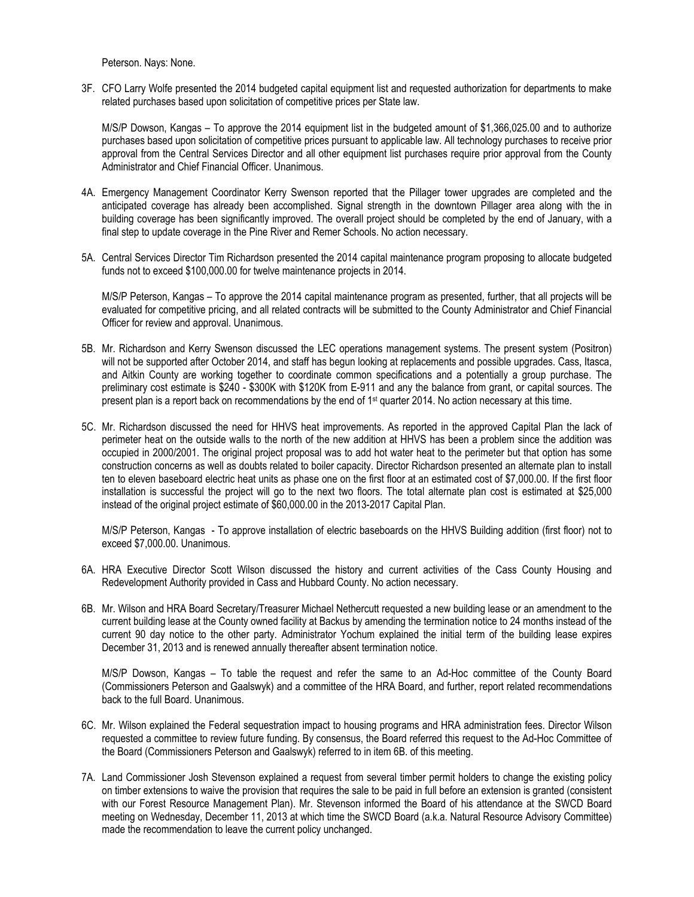Peterson. Nays: None.

3F. CFO Larry Wolfe presented the 2014 budgeted capital equipment list and requested authorization for departments to make related purchases based upon solicitation of competitive prices per State law.

M/S/P Dowson, Kangas – To approve the 2014 equipment list in the budgeted amount of \$1,366,025.00 and to authorize purchases based upon solicitation of competitive prices pursuant to applicable law. All technology purchases to receive prior approval from the Central Services Director and all other equipment list purchases require prior approval from the County Administrator and Chief Financial Officer. Unanimous.

- 4A. Emergency Management Coordinator Kerry Swenson reported that the Pillager tower upgrades are completed and the anticipated coverage has already been accomplished. Signal strength in the downtown Pillager area along with the in building coverage has been significantly improved. The overall project should be completed by the end of January, with a final step to update coverage in the Pine River and Remer Schools. No action necessary.
- 5A. Central Services Director Tim Richardson presented the 2014 capital maintenance program proposing to allocate budgeted funds not to exceed \$100,000.00 for twelve maintenance projects in 2014.

M/S/P Peterson, Kangas – To approve the 2014 capital maintenance program as presented, further, that all projects will be evaluated for competitive pricing, and all related contracts will be submitted to the County Administrator and Chief Financial Officer for review and approval. Unanimous.

- 5B. Mr. Richardson and Kerry Swenson discussed the LEC operations management systems. The present system (Positron) will not be supported after October 2014, and staff has begun looking at replacements and possible upgrades. Cass, Itasca, and Aitkin County are working together to coordinate common specifications and a potentially a group purchase. The preliminary cost estimate is \$240 - \$300K with \$120K from E-911 and any the balance from grant, or capital sources. The present plan is a report back on recommendations by the end of 1<sup>st</sup> quarter 2014. No action necessary at this time.
- 5C. Mr. Richardson discussed the need for HHVS heat improvements. As reported in the approved Capital Plan the lack of perimeter heat on the outside walls to the north of the new addition at HHVS has been a problem since the addition was occupied in 2000/2001. The original project proposal was to add hot water heat to the perimeter but that option has some construction concerns as well as doubts related to boiler capacity. Director Richardson presented an alternate plan to install ten to eleven baseboard electric heat units as phase one on the first floor at an estimated cost of \$7,000.00. If the first floor installation is successful the project will go to the next two floors. The total alternate plan cost is estimated at \$25,000 instead of the original project estimate of \$60,000.00 in the 2013-2017 Capital Plan.

M/S/P Peterson, Kangas - To approve installation of electric baseboards on the HHVS Building addition (first floor) not to exceed \$7,000.00. Unanimous.

- 6A. HRA Executive Director Scott Wilson discussed the history and current activities of the Cass County Housing and Redevelopment Authority provided in Cass and Hubbard County. No action necessary.
- 6B. Mr. Wilson and HRA Board Secretary/Treasurer Michael Nethercutt requested a new building lease or an amendment to the current building lease at the County owned facility at Backus by amending the termination notice to 24 months instead of the current 90 day notice to the other party. Administrator Yochum explained the initial term of the building lease expires December 31, 2013 and is renewed annually thereafter absent termination notice.

M/S/P Dowson, Kangas – To table the request and refer the same to an Ad-Hoc committee of the County Board (Commissioners Peterson and Gaalswyk) and a committee of the HRA Board, and further, report related recommendations back to the full Board. Unanimous.

- 6C. Mr. Wilson explained the Federal sequestration impact to housing programs and HRA administration fees. Director Wilson requested a committee to review future funding. By consensus, the Board referred this request to the Ad-Hoc Committee of the Board (Commissioners Peterson and Gaalswyk) referred to in item 6B. of this meeting.
- 7A. Land Commissioner Josh Stevenson explained a request from several timber permit holders to change the existing policy on timber extensions to waive the provision that requires the sale to be paid in full before an extension is granted (consistent with our Forest Resource Management Plan). Mr. Stevenson informed the Board of his attendance at the SWCD Board meeting on Wednesday, December 11, 2013 at which time the SWCD Board (a.k.a. Natural Resource Advisory Committee) made the recommendation to leave the current policy unchanged.